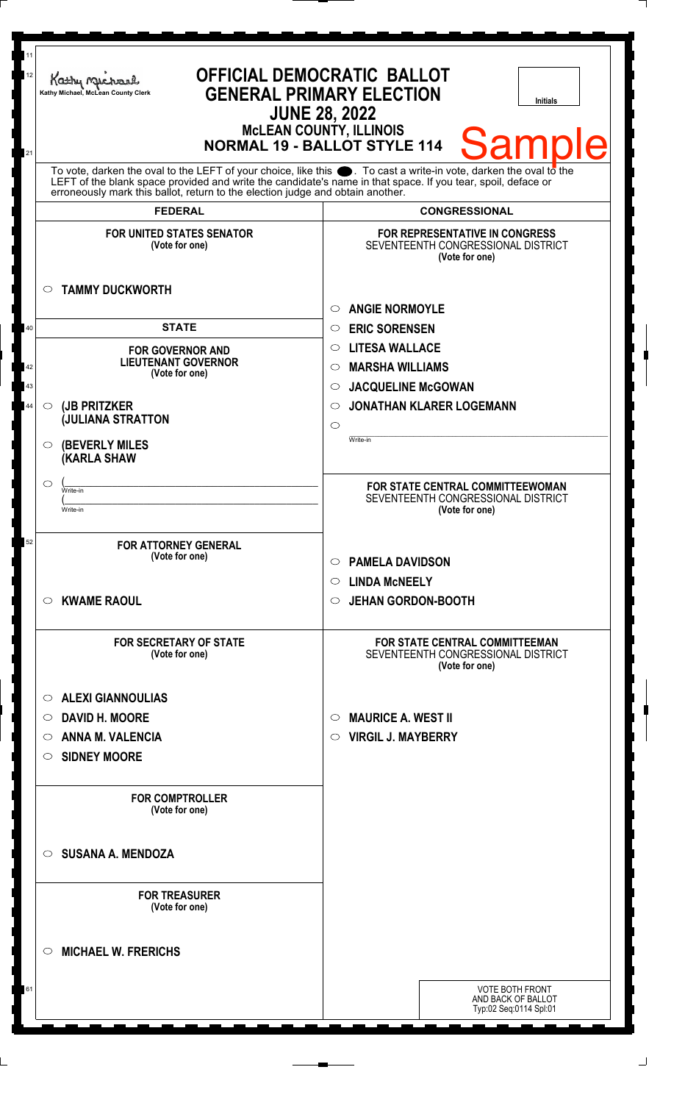| 11<br>12 | <b>OFFICIAL DEMOCRATIC BALLOT</b><br>Kathy Muc<br>Kathy Michael, McLean County Clerk                                                                                                           | <b>GENERAL PRIMARY ELECTION</b><br>Initials<br><b>JUNE 28, 2022</b><br><b>McLEAN COUNTY, ILLINOIS</b> |
|----------|------------------------------------------------------------------------------------------------------------------------------------------------------------------------------------------------|-------------------------------------------------------------------------------------------------------|
| 21       | To vote, darken the oval to the LEFT of your choice, like this $\bullet$ . To cast a write-in vote, darken the oval to the                                                                     | <b>Sample</b><br><b>NORMAL 19 - BALLOT STYLE 114</b>                                                  |
|          | LEFT of the blank space provided and write the candidate's name in that space. If you tear, spoil, deface or<br>erroneously mark this ballot, return to the election judge and obtain another. |                                                                                                       |
|          | <b>FEDERAL</b>                                                                                                                                                                                 | <b>CONGRESSIONAL</b>                                                                                  |
|          | <b>FOR UNITED STATES SENATOR</b><br>(Vote for one)                                                                                                                                             | <b>FOR REPRESENTATIVE IN CONGRESS</b><br>SEVENTEENTH CONGRESSIONAL DISTRICT<br>(Vote for one)         |
|          | <b>TAMMY DUCKWORTH</b><br>$\circ$                                                                                                                                                              | <b>ANGIE NORMOYLE</b><br>$\bigcirc$                                                                   |
| 40       | <b>STATE</b>                                                                                                                                                                                   | <b>ERIC SORENSEN</b><br>$\circ$                                                                       |
|          | <b>FOR GOVERNOR AND</b>                                                                                                                                                                        | <b>LITESA WALLACE</b><br>$\circ$                                                                      |
| 42       | <b>LIEUTENANT GOVERNOR</b>                                                                                                                                                                     | <b>MARSHA WILLIAMS</b><br>◯                                                                           |
| 43       | (Vote for one)                                                                                                                                                                                 | <b>JACQUELINE McGOWAN</b><br>$\circ$                                                                  |
| 44       | (JB PRITZKER<br>$\circ$                                                                                                                                                                        | <b>JONATHAN KLARER LOGEMANN</b><br>◯                                                                  |
|          | <b>JULIANA STRATTON</b>                                                                                                                                                                        | $\circ$                                                                                               |
|          | <b>(BEVERLY MILES</b><br>$\circ$<br><b>(KARLA SHAW</b>                                                                                                                                         | Write-in                                                                                              |
|          | $\circlearrowright$<br>Write-in                                                                                                                                                                | FOR STATE CENTRAL COMMITTEEWOMAN                                                                      |
|          | Write-in                                                                                                                                                                                       | SEVENTEENTH CONGRESSIONAL DISTRICT<br>(Vote for one)                                                  |
|          |                                                                                                                                                                                                |                                                                                                       |
| 52       | <b>FOR ATTORNEY GENERAL</b>                                                                                                                                                                    |                                                                                                       |
|          | (Vote for one)                                                                                                                                                                                 | <b>PAMELA DAVIDSON</b><br>$\circ$                                                                     |
|          |                                                                                                                                                                                                | <b>LINDA MCNEELY</b><br>$\circ$                                                                       |
|          | <b>KWAME RAOUL</b><br>$\circ$                                                                                                                                                                  | <b>JEHAN GORDON-BOOTH</b><br>$\circ$                                                                  |
|          |                                                                                                                                                                                                |                                                                                                       |
|          | <b>FOR SECRETARY OF STATE</b><br>(Vote for one)                                                                                                                                                | <b>FOR STATE CENTRAL COMMITTEEMAN</b><br>SEVENTEENTH CONGRESSIONAL DISTRICT<br>(Vote for one)         |
|          | <b>ALEXI GIANNOULIAS</b><br>$\circ$                                                                                                                                                            |                                                                                                       |
|          | <b>DAVID H. MOORE</b><br>$\circ$                                                                                                                                                               | <b>MAURICE A. WEST II</b><br>$\circ$                                                                  |
|          | <b>ANNA M. VALENCIA</b><br>$\circ$                                                                                                                                                             | <b>VIRGIL J. MAYBERRY</b><br>$\circ$                                                                  |
|          | <b>SIDNEY MOORE</b><br>O                                                                                                                                                                       |                                                                                                       |
|          |                                                                                                                                                                                                |                                                                                                       |
|          | <b>FOR COMPTROLLER</b><br>(Vote for one)                                                                                                                                                       |                                                                                                       |
|          | <b>SUSANA A. MENDOZA</b><br>$\circ$                                                                                                                                                            |                                                                                                       |
|          | <b>FOR TREASURER</b><br>(Vote for one)                                                                                                                                                         |                                                                                                       |
|          | <b>MICHAEL W. FRERICHS</b><br>$\circ$                                                                                                                                                          |                                                                                                       |
| 61       |                                                                                                                                                                                                | <b>VOTE BOTH FRONT</b><br>AND BACK OF BALLOT                                                          |
|          |                                                                                                                                                                                                | Typ:02 Seq:0114 Spl:01                                                                                |
|          |                                                                                                                                                                                                |                                                                                                       |